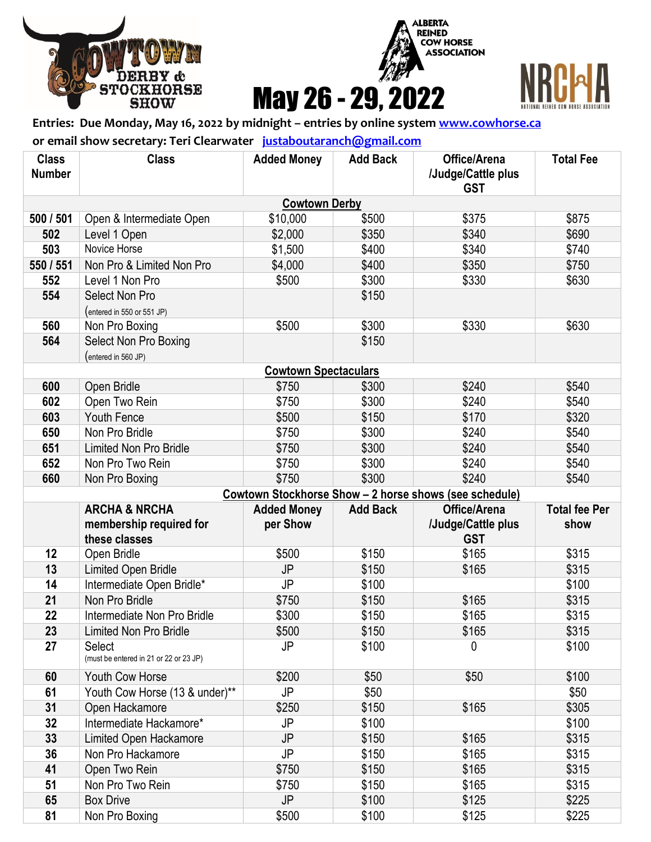





## **Entries: Due Monday, May 16, 2022 by midnight – entries by online system [www.cowhorse.ca](http://www.cowhorse.ca/)**

**or email show secretary: Teri Clearwater [justaboutaranch@gmail.com](mailto:justaboutaranch@gmail.com)**

| <b>Class</b><br><b>Number</b> | <b>Class</b>                                | <b>Added Money</b>          | <b>Add Back</b> | Office/Arena<br>/Judge/Cattle plus<br><b>GST</b>       | <b>Total Fee</b>     |  |  |  |  |
|-------------------------------|---------------------------------------------|-----------------------------|-----------------|--------------------------------------------------------|----------------------|--|--|--|--|
| <b>Cowtown Derby</b>          |                                             |                             |                 |                                                        |                      |  |  |  |  |
| 500 / 501                     | Open & Intermediate Open                    | \$10,000                    | \$500           | \$375                                                  | \$875                |  |  |  |  |
| 502                           | Level 1 Open                                | \$2,000                     | \$350           | \$340                                                  | \$690                |  |  |  |  |
| 503                           | Novice Horse                                | \$1,500                     | \$400           | \$340                                                  | \$740                |  |  |  |  |
| 550 / 551                     | Non Pro & Limited Non Pro                   | \$4,000                     | \$400           | \$350                                                  | \$750                |  |  |  |  |
| 552                           | Level 1 Non Pro                             | \$500                       | \$300           | \$330                                                  | \$630                |  |  |  |  |
| 554                           | Select Non Pro                              |                             | \$150           |                                                        |                      |  |  |  |  |
|                               | (entered in 550 or 551 JP)                  |                             |                 |                                                        |                      |  |  |  |  |
| 560                           | Non Pro Boxing                              | \$500                       | \$300           | \$330                                                  | \$630                |  |  |  |  |
| 564                           | Select Non Pro Boxing                       |                             | \$150           |                                                        |                      |  |  |  |  |
|                               | (entered in 560 JP)                         |                             |                 |                                                        |                      |  |  |  |  |
|                               |                                             | <b>Cowtown Spectaculars</b> |                 |                                                        |                      |  |  |  |  |
| 600                           | Open Bridle                                 | \$750                       | \$300           | \$240                                                  | \$540                |  |  |  |  |
| 602                           | Open Two Rein                               | \$750                       | \$300           | \$240                                                  | \$540                |  |  |  |  |
| 603                           | Youth Fence                                 | \$500                       | \$150           | \$170                                                  | \$320                |  |  |  |  |
| 650                           | Non Pro Bridle                              | \$750                       | \$300           | \$240                                                  | \$540                |  |  |  |  |
| 651                           | <b>Limited Non Pro Bridle</b>               | \$750                       | \$300           | \$240                                                  | \$540                |  |  |  |  |
| 652                           | Non Pro Two Rein                            | \$750                       | \$300           | \$240                                                  | \$540                |  |  |  |  |
| 660                           | Non Pro Boxing                              | \$750                       | \$300           | \$240                                                  | \$540                |  |  |  |  |
|                               |                                             |                             |                 | Cowtown Stockhorse Show - 2 horse shows (see schedule) |                      |  |  |  |  |
|                               | <b>ARCHA &amp; NRCHA</b>                    | <b>Added Money</b>          | <b>Add Back</b> | Office/Arena                                           | <b>Total fee Per</b> |  |  |  |  |
|                               | membership required for                     | per Show                    |                 | /Judge/Cattle plus                                     | show                 |  |  |  |  |
|                               | these classes                               |                             |                 | <b>GST</b>                                             |                      |  |  |  |  |
| 12                            | Open Bridle                                 | \$500<br>JP                 | \$150           | \$165                                                  | \$315                |  |  |  |  |
| 13<br>14                      | <b>Limited Open Bridle</b>                  | JP                          | \$150           | \$165                                                  | \$315<br>\$100       |  |  |  |  |
| 21                            | Intermediate Open Bridle*<br>Non Pro Bridle | \$750                       | \$100<br>\$150  | \$165                                                  | \$315                |  |  |  |  |
| 22                            | Intermediate Non Pro Bridle                 | \$300                       | \$150           | \$165                                                  | \$315                |  |  |  |  |
| 23                            | <b>Limited Non Pro Bridle</b>               | \$500                       | \$150           | \$165                                                  | \$315                |  |  |  |  |
| 27                            | <b>Select</b>                               | JP                          | \$100           | 0                                                      | \$100                |  |  |  |  |
|                               | (must be entered in 21 or 22 or 23 JP)      |                             |                 |                                                        |                      |  |  |  |  |
| 60                            | Youth Cow Horse                             | \$200                       | \$50            | \$50                                                   | \$100                |  |  |  |  |
| 61                            | Youth Cow Horse (13 & under)**              | JP                          | \$50            |                                                        | \$50                 |  |  |  |  |
| 31                            | Open Hackamore                              | \$250                       | \$150           | \$165                                                  | \$305                |  |  |  |  |
| 32                            | Intermediate Hackamore*                     | JP                          | \$100           |                                                        | \$100                |  |  |  |  |
| 33                            | Limited Open Hackamore                      | JP                          | \$150           | \$165                                                  | \$315                |  |  |  |  |
| 36                            | Non Pro Hackamore                           | JP                          | \$150           | \$165                                                  | \$315                |  |  |  |  |
| 41                            | Open Two Rein                               | \$750                       | \$150           | \$165                                                  | \$315                |  |  |  |  |
| 51                            | Non Pro Two Rein                            | \$750                       | \$150           | \$165                                                  | \$315                |  |  |  |  |
| 65                            | <b>Box Drive</b>                            | JP                          | \$100           | \$125                                                  | \$225                |  |  |  |  |
| 81                            | Non Pro Boxing                              | \$500                       | \$100           | \$125                                                  | \$225                |  |  |  |  |